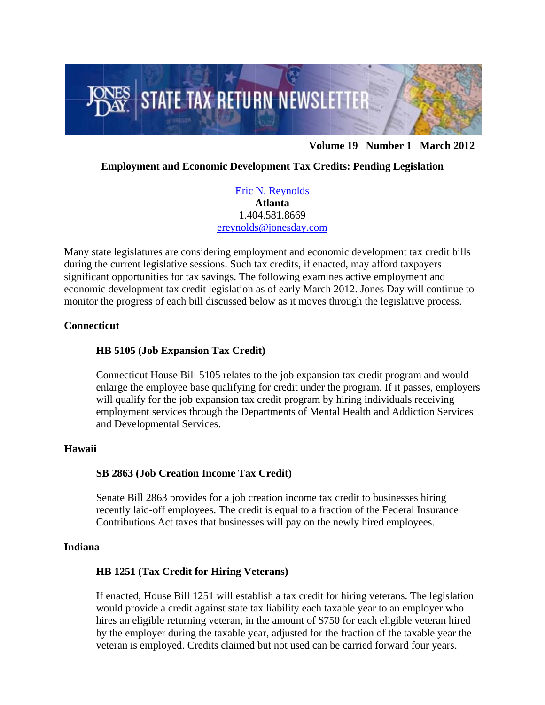

**Volume 19 Number 1 March 2012**

# **Employment and Economic Development Tax Credits: Pending Legislation**

[Eric N. Reynolds](http://www.jonesday.com/ereynolds/) **Atlanta**  1.404.581.8669 [ereynolds@jonesday.com](mailto:ereynolds@jonesday.com) 

Many state legislatures are considering employment and economic development tax credit bills during the current legislative sessions. Such tax credits, if enacted, may afford taxpayers significant opportunities for tax savings. The following examines active employment and economic development tax credit legislation as of early March 2012. Jones Day will continue to monitor the progress of each bill discussed below as it moves through the legislative process.

## **Connecticut**

## **HB 5105 (Job Expansion Tax Credit)**

Connecticut House Bill 5105 relates to the job expansion tax credit program and would enlarge the employee base qualifying for credit under the program. If it passes, employers will qualify for the job expansion tax credit program by hiring individuals receiving employment services through the Departments of Mental Health and Addiction Services and Developmental Services.

#### **Hawaii**

#### **SB 2863 (Job Creation Income Tax Credit)**

Senate Bill 2863 provides for a job creation income tax credit to businesses hiring recently laid-off employees. The credit is equal to a fraction of the Federal Insurance Contributions Act taxes that businesses will pay on the newly hired employees.

#### **Indiana**

# **HB 1251 (Tax Credit for Hiring Veterans)**

If enacted, House Bill 1251 will establish a tax credit for hiring veterans. The legislation would provide a credit against state tax liability each taxable year to an employer who hires an eligible returning veteran, in the amount of \$750 for each eligible veteran hired by the employer during the taxable year, adjusted for the fraction of the taxable year the veteran is employed. Credits claimed but not used can be carried forward four years.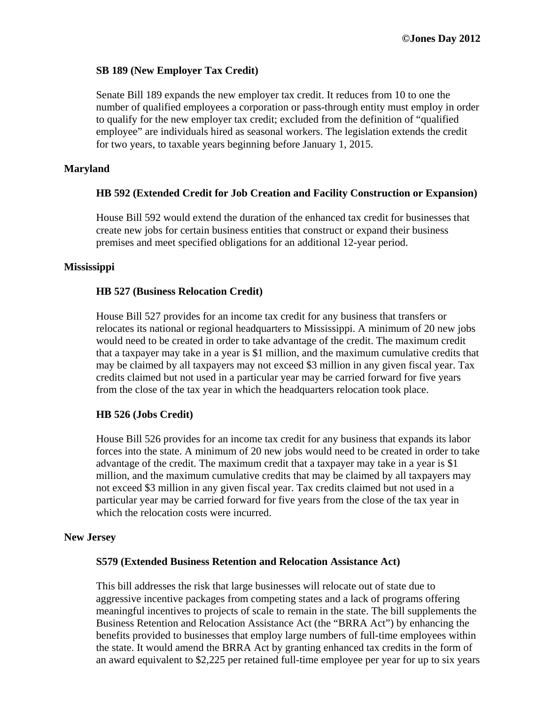## **SB 189 (New Employer Tax Credit)**

Senate Bill 189 expands the new employer tax credit. It reduces from 10 to one the number of qualified employees a corporation or pass-through entity must employ in order to qualify for the new employer tax credit; excluded from the definition of "qualified employee" are individuals hired as seasonal workers. The legislation extends the credit for two years, to taxable years beginning before January 1, 2015.

#### **Maryland**

## **HB 592 (Extended Credit for Job Creation and Facility Construction or Expansion)**

House Bill 592 would extend the duration of the enhanced tax credit for businesses that create new jobs for certain business entities that construct or expand their business premises and meet specified obligations for an additional 12-year period.

#### **Mississippi**

#### **HB 527 (Business Relocation Credit)**

House Bill 527 provides for an income tax credit for any business that transfers or relocates its national or regional headquarters to Mississippi. A minimum of 20 new jobs would need to be created in order to take advantage of the credit. The maximum credit that a taxpayer may take in a year is \$1 million, and the maximum cumulative credits that may be claimed by all taxpayers may not exceed \$3 million in any given fiscal year. Tax credits claimed but not used in a particular year may be carried forward for five years from the close of the tax year in which the headquarters relocation took place.

#### **HB 526 (Jobs Credit)**

House Bill 526 provides for an income tax credit for any business that expands its labor forces into the state. A minimum of 20 new jobs would need to be created in order to take advantage of the credit. The maximum credit that a taxpayer may take in a year is \$1 million, and the maximum cumulative credits that may be claimed by all taxpayers may not exceed \$3 million in any given fiscal year. Tax credits claimed but not used in a particular year may be carried forward for five years from the close of the tax year in which the relocation costs were incurred.

#### **New Jersey**

#### **S579 (Extended Business Retention and Relocation Assistance Act)**

This bill addresses the risk that large businesses will relocate out of state due to aggressive incentive packages from competing states and a lack of programs offering meaningful incentives to projects of scale to remain in the state. The bill supplements the Business Retention and Relocation Assistance Act (the "BRRA Act") by enhancing the benefits provided to businesses that employ large numbers of full-time employees within the state. It would amend the BRRA Act by granting enhanced tax credits in the form of an award equivalent to \$2,225 per retained full-time employee per year for up to six years